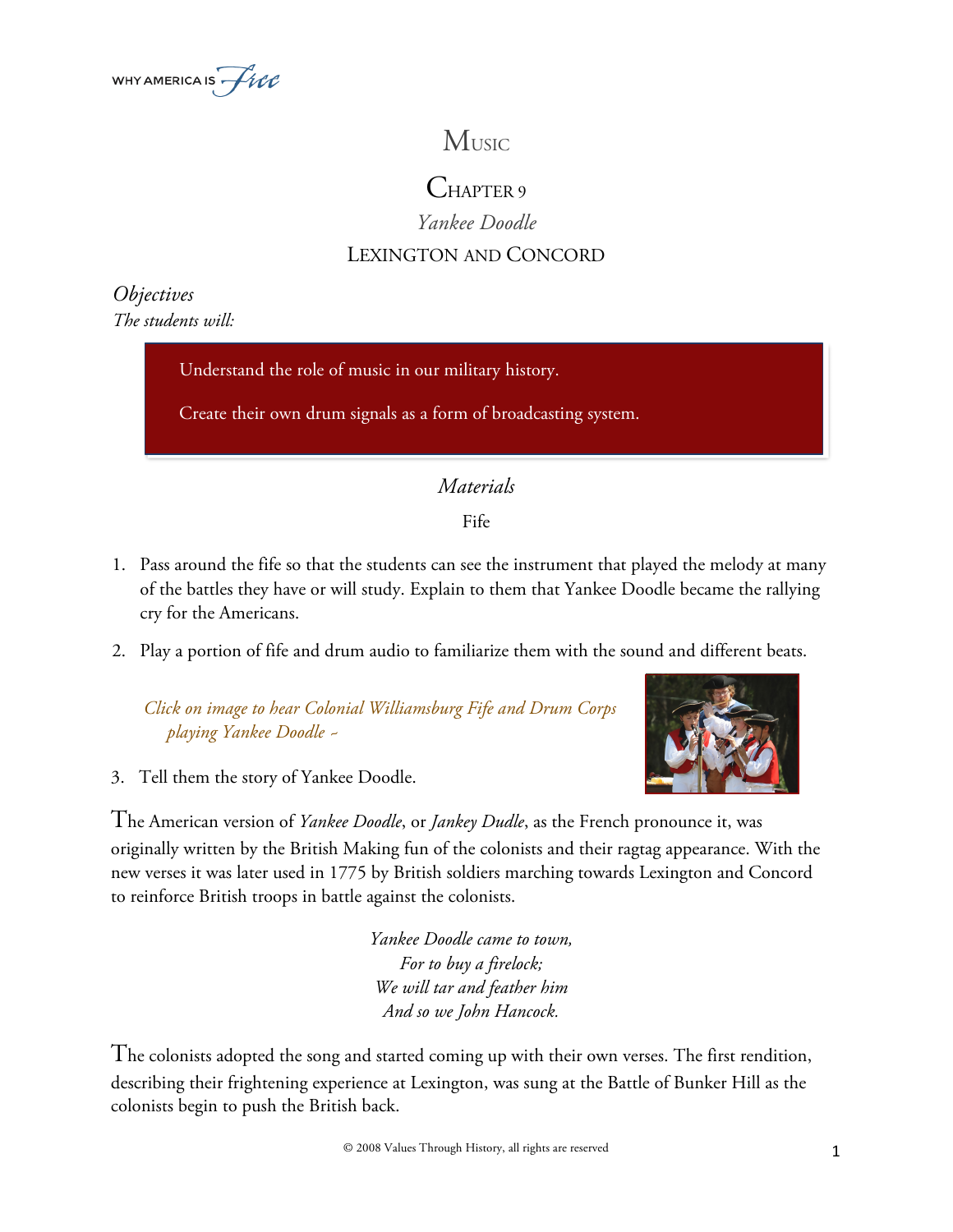

# **MUSIC**

## CHAPTER 9

### *Yankee Doodle*

## LEXINGTON AND CONCORD

#### *Objectives The students will:*

Understand the role of music in our military history.

Create their own drum signals as a form of broadcasting system.

## *Materials*

Fife

- 1. Pass around the fife so that the students can see the instrument that played the melody at many of the battles they have or will study. Explain to them that Yankee Doodle became the rallying cry for the Americans.
- 2. Play a portion of fife and drum audio to familiarize them with the sound and different beats.

 *Click on image to hear Colonial Williamsburg Fife and Drum Corps playing Yankee Doodle ~*





The American version of *Yankee Doodle*, or *Jankey Dudle*, as the French pronounce it, was originally written by the British Making fun of the colonists and their ragtag appearance. With the new verses it was later used in 1775 by British soldiers marching towards Lexington and Concord to reinforce British troops in battle against the colonists.

> *Yankee Doodle came to town, For to buy a firelock; We will tar and feather him And so we John Hancock.*

The colonists adopted the song and started coming up with their own verses. The first rendition, describing their frightening experience at Lexington, was sung at the Battle of Bunker Hill as the colonists begin to push the British back.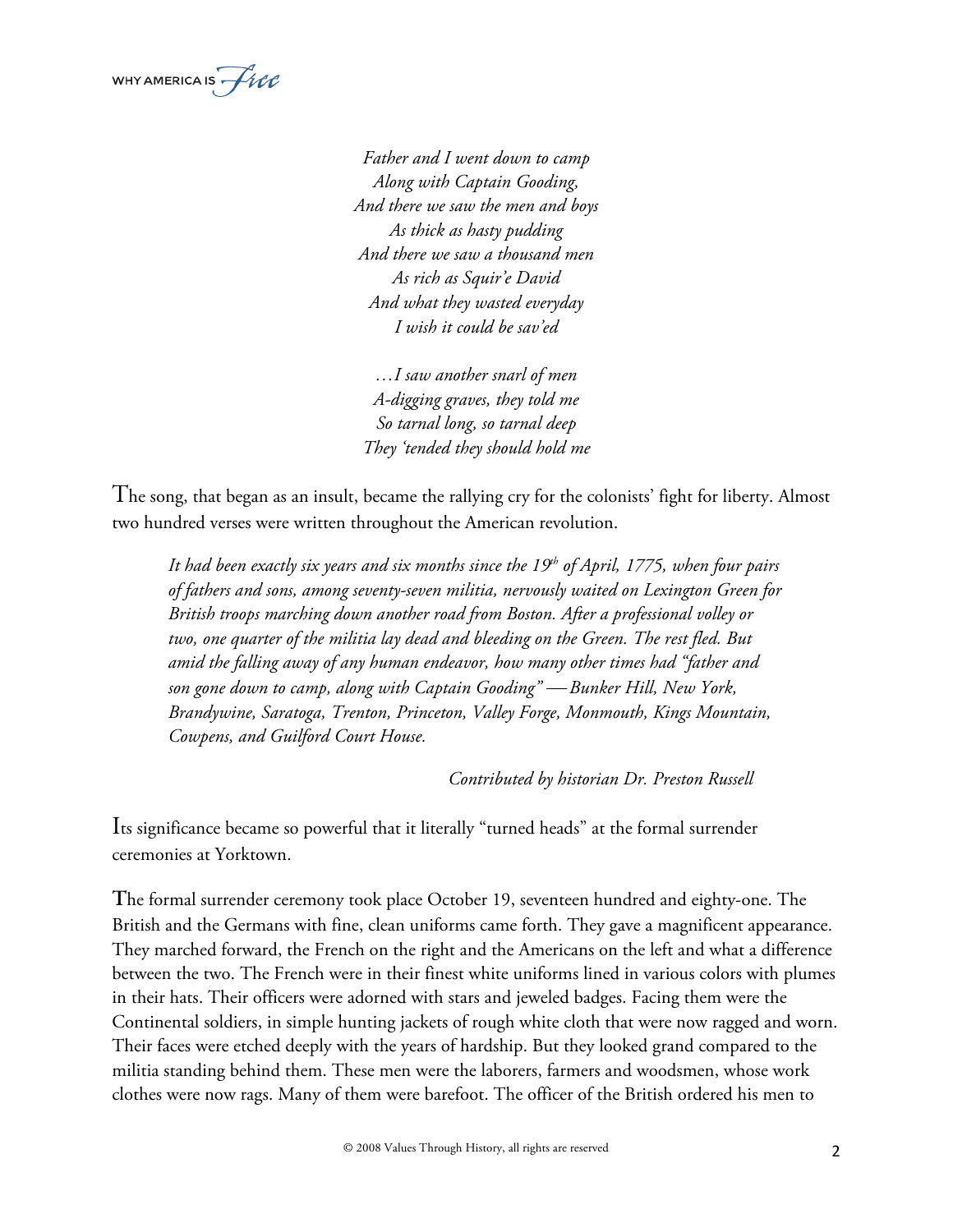

*Father and I went down to camp Along with Captain Gooding, And there we saw the men and boys As thick as hasty pudding And there we saw a thousand men As rich as Squir'e David And what they wasted everyday I wish it could be sav'ed* 

*…I saw another snarl of men A-digging graves, they told me So tarnal long, so tarnal deep They 'tended they should hold me* 

The song, that began as an insult, became the rallying cry for the colonists' fight for liberty. Almost two hundred verses were written throughout the American revolution.

It had been exactly six years and six months since the 19<sup>th</sup> of April, 1775, when four pairs *of fathers and sons, among seventy-seven militia, nervously waited on Lexington Green for British troops marching down another road from Boston. After a professional volley or two, one quarter of the militia lay dead and bleeding on the Green. The rest fled. But amid the falling away of any human endeavor, how many other times had "father and son gone down to camp, along with Captain Gooding"* ¾ *Bunker Hill, New York, Brandywine, Saratoga, Trenton, Princeton, Valley Forge, Monmouth, Kings Mountain, Cowpens, and Guilford Court House.* 

*Contributed by historian Dr. Preston Russell*

Its significance became so powerful that it literally "turned heads" at the formal surrender ceremonies at Yorktown.

**T**he formal surrender ceremony took place October 19, seventeen hundred and eighty-one. The British and the Germans with fine, clean uniforms came forth. They gave a magnificent appearance. They marched forward, the French on the right and the Americans on the left and what a difference between the two. The French were in their finest white uniforms lined in various colors with plumes in their hats. Their officers were adorned with stars and jeweled badges. Facing them were the Continental soldiers, in simple hunting jackets of rough white cloth that were now ragged and worn. Their faces were etched deeply with the years of hardship. But they looked grand compared to the militia standing behind them. These men were the laborers, farmers and woodsmen, whose work clothes were now rags. Many of them were barefoot. The officer of the British ordered his men to